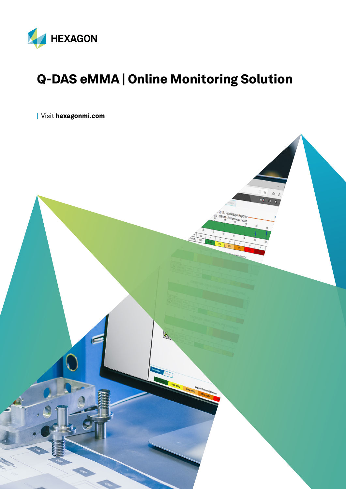

## Q-DAS eMMA | Online Monitoring Solution

| Visit [hexagonmi.com](https://www.hexagonmi.com/)